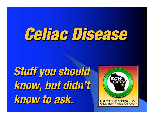# Celiac Disease

**Stuff you should Stuff you should know, but didn know, but didn't know to ask. know to ask.**

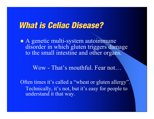• A genetic multi-system autoimmune disorder in which gluten triggers damage to the small intestine and other organs.

Wow - That's mouthful. Fear not…

Often times it's called a "wheat or gluten allergy". Technically, it's not, but it's easy for people to understand it that way.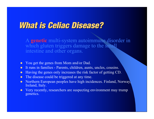- ! You get the genes from Mom and/or Dad.
- ! It runs in families Parents, children, aunts, uncles, cousins.
- ! Having the genes only increases the risk factor of getting CD.
- The disease could be triggered at any time.
- Northern European peoples have high incidences. Finland, Norway, Ireland, Italy.
- ! Very recently, researchers are suspecting environment may trump genetics.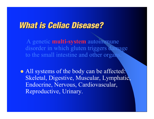A genetic **multi-system** autoimmune disorder in which gluten triggers damage to the small intestine and other organ

• All systems of the body can be affected: Skeletal, Digestive, Muscular, Lymphatic, Endocrine, Nervous, Cardiovascular, Reproductive, Urinary.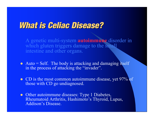- $\bullet$  Auto = Self. The body is attacking and damaging itself in the process of attacking the "invader".
- CD is the most common autoimmune disease, yet 97% of those with CD go undiagnosed.
- Other autoimmune diseases: Type 1 Diabetes, Rheumatoid Arthritis, Hashimoto's Thyroid, Lupus, Addison's Disease.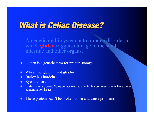- ! Gluten is a generic term for protein storage.
- Wheat has glutenin and gliadin
- ! Barley has hordein
- Rye has secalin
- Oats have avenin. Some celiacs react to avenin, but commercial oats have gluten contamination issues
- These proteins can't be broken down and cause problems.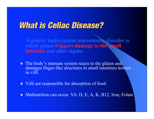- The body's immune system reacts to the gluten and damages finger-like structures in small intestines known as villi
- Villi are responsible for absorption of food.
- . Malnutrition can occur. Vit. D, E, A, K, B12, Iron, Folate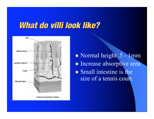#### What do villi look like?



**External intestinal surface** 

• Normal height .5 - 1mm · Increase absorptive area • Small intestine is the size of a tennis court.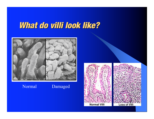#### What do villi look like?



#### Normal Damaged

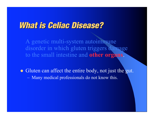A genetic multi-system autoimmune disorder in which gluten triggers damage to the small intestine and **other organs**.

• Gluten can affect the entire body, not just the gut. – Many medical professionals do not know this.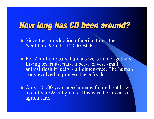- Since the introduction of agriculture the Neolithic Period - 10,000 BCE
- ! For <sup>2</sup> million years, humans were hunter/gathers. Living on fruits, nuts, tubers, leaves, small animal flesh if lucky - all gluten-free. The human body evolved to process these foods.
- Only 10,000 years ago humans figured out how to cultivate & eat grains. This was the advent of agriculture.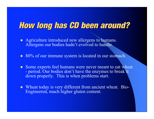- Agriculture introduced new allergens to humans. Allergens our bodies hadn't evolved to handle.
- 80% of our immune system is located in our stomach.
- Some experts feel humans were never meant to eat wheat - period. Our bodies don't have the enzymes to break it down properly. This is when problems start.
- Wheat today is very different from ancient wheat. Bio-Engineered, much higher gluten content.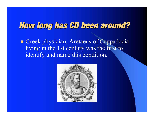**• Greek physician, Aretaeus of Cappadocia** living in the 1st century was the first to identify and name this condition.

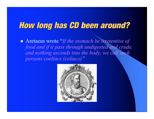! Aretaeus wrote "*If the stomach be irretentive of food and if it pass through undigested and crude, and nothing ascends into the body, we call such persons coeliacs (celiacs)"*

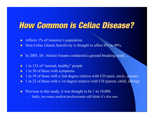#### How Common is Celiac Disease?

- Affects 1% of America's population.
- Non-Celiac Gluten Sensitivity is thought to affect 6% to 40%.
- ! In 2003, Dr. Alessio Fasano conducted a ground breaking study…
- 1 in 133 of "normal, healthy" people
- $\bullet$  1 in 56 of those with symptoms
- 1 in 39 of those with a 2nd degree relative with CD (aunt, uncle, cousin)
- 1 in 22 of those with a 1st degree relative with CD (parent, child, sibling)
- Previous to this study, it was thought to be 1 in 10,000.
	- Sadly, too many medical professionals still think it's this rare.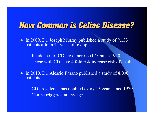#### How Common is Celiac Disease?

! In 2009, Dr. Joseph Murray published a study of 9,133 patients after a 45 year follow up…

– Incidences of CD have increased 4x since 1950's.

- Those with CD have 4 fold risk increase risk of death.
- In 2010, Dr. Alessio Fasano published a study of 8,000 patients…

– CD prevalence has doubled every 15 years since 1970 – Can be triggered at any age.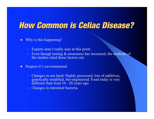### **How Common is Celiac Disease?**

- ! Why is this happening?
	- Experts aren't really sure at this point.
	- $-$  Even though testing  $\&$  awareness has increased, the methods of the studies ruled those factors out.
- Suspect it's environmental
	- Changes in our food: Highly processed, lots of additives, genetically modified, bio-engineered. Food today is very different than food 10 - 20 years ago.
	- Changes in intestinal bacteria.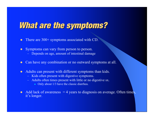### What are the symptoms?

- There are 300+ symptoms associated with CD.
- Symptoms can vary from person to person.
	- Depends on age, amount of intestinal damage
- ! Can have any combination or no outward symptoms at all.
- Adults can present with different symptoms than kids.
	- Kids often present with digestive symptoms.
	- Adults often times present with little or no digestive sx.
		- Only about 1/3 have the classic diarrhea.
- Add lack of awareness  $= 4$  years to diagnosis on average. Often times, it's longer.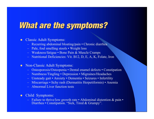#### What are the symptoms?

#### ! Classic Adult Symptoms:

- Recurring abdominal bloating/pain Chronic diarrhea
- Pale, foul smelling stools Weight loss
- Weakness/fatigue Bone Pain & Muscle Cramps
- Nutritional Deficiencies: Vit. B12, D, E, A, K, Folate, Iron
- Non-Classic Adult Symptoms:
	- Osteoporosis/Osteopenia Dental enamel defects Constipation
	- Numbness/Tingling Depression Migraines/Headaches
	- Unsteady gait Anxiety Dementia Seizures Infertility
	- Miscarriage Itchy rash (Dermatitis Herpetiformis) Anemia
	- Abnormal Liver function tests
- ! Child Symptoms:
	- Failure to thrive/low growth rate Abdominal distention & pain Diarrhea Constipation. "Sick, Tired & Grumpy".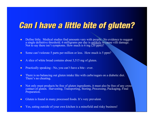## **Can I have a little bite of gluten?**

- ! Define little. Medical studies find amounts vary with people. No evidence to suggest a single definitive threshold. 6 milligrams per day is unlikely to cause villi damage. Not to say there isn't symptoms. How much is 6 mg  $(20 \text{ ppm})$ ?
- Some can't tolerate 5 parts per million or less. How much is 5 ppm?
- $\bullet$  A slice of white bread contains about 3,515 mg of gluten.
- Practically speaking No, you can't have a bite ever.
- ! There is no balancing out gluten intake like with carbs/sugars on <sup>a</sup> diabetic diet. There's no cheating.
- ! Not only must products be free of gluten ingredients, it must also be free of any cross contact of gluten. Harvesting, Transporting, Storing, Processing, Packaging, Final Preparation.
- Gluten is found in many processed foods. It's very prevalent.
- ! Yes, eating outside of your own kitchen is a minefield and risky business!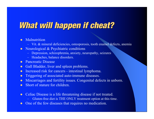## What will happen if cheat?

#### **Malnutrition**

- Vit. & mineral deficiencies, osteoporosis, tooth enamel defects, anemia
- Neurological & Psychiatric conditions
	- Depression, schizophrenia, anxiety, neuropathy, seizures
	- Headaches, balance disorders.
- Pancreatic Disease
- Gall Bladder, liver and spleen problems.
- Increased risk for cancers intestinal lymphoma.
- Triggering of associated auto-immune diseases.
- Miscarriages and fertility issues. Congenital defects in unborn.
- Short of stature for children.
- Celiac Disease is a life threatening disease if not treated.
	- Gluten-free diet is THE ONLY treatment option at this time.
- ! One of the few diseases that requires no medication.